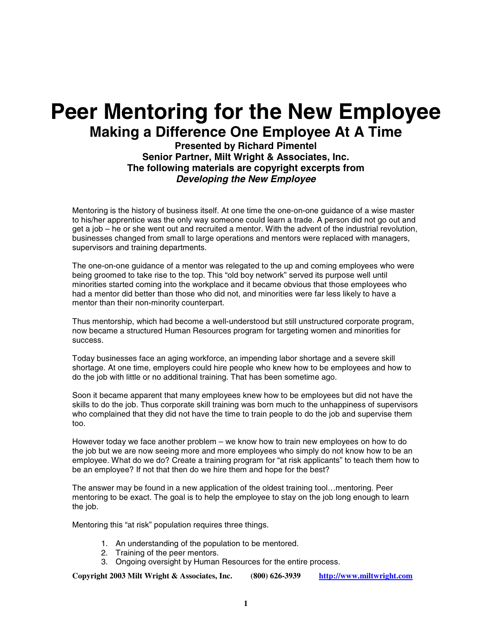# **Peer Mentoring for the New Employee Making a Difference One Employee At A Time**

**Presented by Richard Pimentel Senior Partner, Milt Wright & Associates, Inc. The following materials are copyright excerpts from Developing the New Employee** 

Mentoring is the history of business itself. At one time the one-on-one guidance of a wise master to his/her apprentice was the only way someone could learn a trade. A person did not go out and get a job – he or she went out and recruited a mentor. With the advent of the industrial revolution, businesses changed from small to large operations and mentors were replaced with managers, supervisors and training departments.

The one-on-one guidance of a mentor was relegated to the up and coming employees who were being groomed to take rise to the top. This "old boy network" served its purpose well until minorities started coming into the workplace and it became obvious that those employees who had a mentor did better than those who did not, and minorities were far less likely to have a mentor than their non-minority counterpart.

Thus mentorship, which had become a well-understood but still unstructured corporate program, now became a structured Human Resources program for targeting women and minorities for success.

Today businesses face an aging workforce, an impending labor shortage and a severe skill shortage. At one time, employers could hire people who knew how to be employees and how to do the job with little or no additional training. That has been sometime ago.

Soon it became apparent that many employees knew how to be employees but did not have the skills to do the job. Thus corporate skill training was born much to the unhappiness of supervisors who complained that they did not have the time to train people to do the job and supervise them too.

However today we face another problem – we know how to train new employees on how to do the job but we are now seeing more and more employees who simply do not know how to be an employee. What do we do? Create a training program for "at risk applicants" to teach them how to be an employee? If not that then do we hire them and hope for the best?

The answer may be found in a new application of the oldest training tool…mentoring. Peer mentoring to be exact. The goal is to help the employee to stay on the job long enough to learn the job.

Mentoring this "at risk" population requires three things.

- 1. An understanding of the population to be mentored.
- 2. Training of the peer mentors.
- 3. Ongoing oversight by Human Resources for the entire process.

**Copyright 2003 Milt Wright & Associates, Inc. (800) 626-3939 http://www.miltwright.com**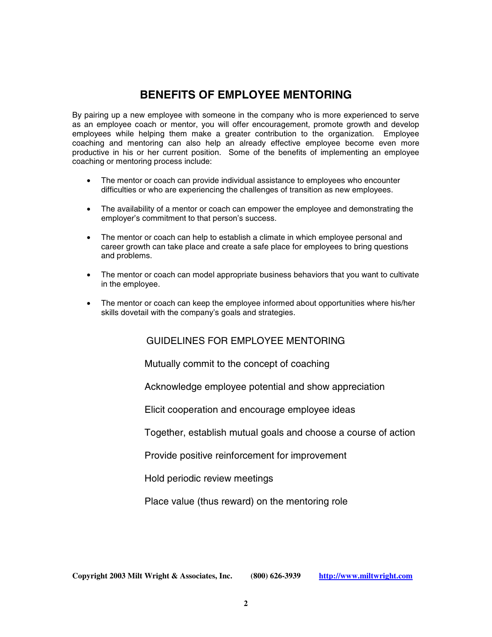### **BENEFITS OF EMPLOYEE MENTORING**

By pairing up a new employee with someone in the company who is more experienced to serve as an employee coach or mentor, you will offer encouragement, promote growth and develop employees while helping them make a greater contribution to the organization. Employee coaching and mentoring can also help an already effective employee become even more productive in his or her current position. Some of the benefits of implementing an employee coaching or mentoring process include:

- The mentor or coach can provide individual assistance to employees who encounter difficulties or who are experiencing the challenges of transition as new employees.
- The availability of a mentor or coach can empower the employee and demonstrating the employer's commitment to that person's success.
- The mentor or coach can help to establish a climate in which employee personal and career growth can take place and create a safe place for employees to bring questions and problems.
- The mentor or coach can model appropriate business behaviors that you want to cultivate in the employee.
- The mentor or coach can keep the employee informed about opportunities where his/her skills dovetail with the company's goals and strategies.

#### GUIDELINES FOR EMPLOYEE MENTORING

Mutually commit to the concept of coaching

Acknowledge employee potential and show appreciation

Elicit cooperation and encourage employee ideas

Together, establish mutual goals and choose a course of action

Provide positive reinforcement for improvement

Hold periodic review meetings

Place value (thus reward) on the mentoring role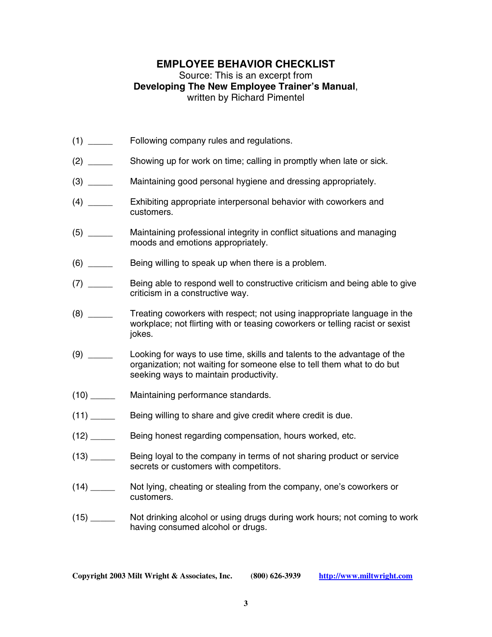#### **EMPLOYEE BEHAVIOR CHECKLIST**

#### Source: This is an excerpt from **Developing The New Employee Trainer's Manual**, written by Richard Pimentel

- (1) \_\_\_\_\_ Following company rules and regulations.
- (2) \_\_\_\_\_ Showing up for work on time; calling in promptly when late or sick.
- (3) \_\_\_\_\_ Maintaining good personal hygiene and dressing appropriately.
- (4) \_\_\_\_\_ Exhibiting appropriate interpersonal behavior with coworkers and customers.
- (5) \_\_\_\_\_ Maintaining professional integrity in conflict situations and managing moods and emotions appropriately.
- (6) \_\_\_\_\_ Being willing to speak up when there is a problem.
- (7) \_\_\_\_\_\_ Being able to respond well to constructive criticism and being able to give criticism in a constructive way.
- (8) \_\_\_\_\_ Treating coworkers with respect; not using inappropriate language in the workplace; not flirting with or teasing coworkers or telling racist or sexist jokes.
- (9) \_\_\_\_\_ Looking for ways to use time, skills and talents to the advantage of the organization; not waiting for someone else to tell them what to do but seeking ways to maintain productivity.
- (10) \_\_\_\_\_ Maintaining performance standards.
- (11) \_\_\_\_\_ Being willing to share and give credit where credit is due.
- (12) \_\_\_\_\_ Being honest regarding compensation, hours worked, etc.
- (13) \_\_\_\_\_ Being loyal to the company in terms of not sharing product or service secrets or customers with competitors.
- (14) \_\_\_\_\_ Not lying, cheating or stealing from the company, one's coworkers or customers.
- (15) \_\_\_\_\_ Not drinking alcohol or using drugs during work hours; not coming to work having consumed alcohol or drugs.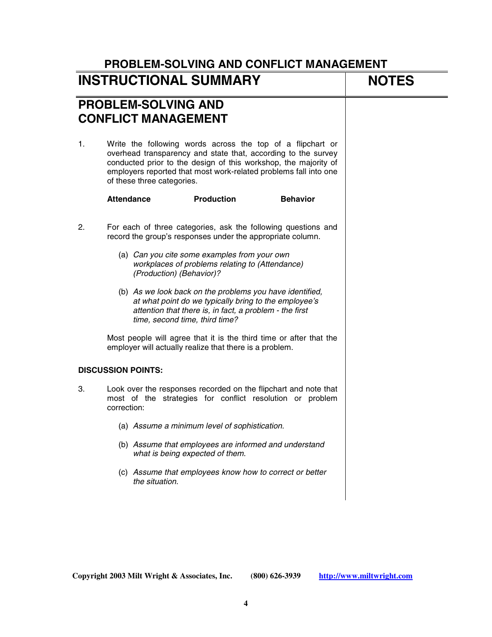| <b>INSTRUCTIONAL SUMMARY</b>                             | <b>NOTES</b>                                                                                                                                                                                                                                                                                     |  |
|----------------------------------------------------------|--------------------------------------------------------------------------------------------------------------------------------------------------------------------------------------------------------------------------------------------------------------------------------------------------|--|
| <b>PROBLEM-SOLVING AND</b><br><b>CONFLICT MANAGEMENT</b> |                                                                                                                                                                                                                                                                                                  |  |
| 1.                                                       | Write the following words across the top of a flipchart or<br>overhead transparency and state that, according to the survey<br>conducted prior to the design of this workshop, the majority of<br>employers reported that most work-related problems fall into one<br>of these three categories. |  |
|                                                          | <b>Attendance</b><br><b>Production</b><br><b>Behavior</b>                                                                                                                                                                                                                                        |  |
| 2.                                                       | For each of three categories, ask the following questions and<br>record the group's responses under the appropriate column.                                                                                                                                                                      |  |
|                                                          | (a) Can you cite some examples from your own<br>workplaces of problems relating to (Attendance)<br>(Production) (Behavior)?                                                                                                                                                                      |  |
|                                                          | (b) As we look back on the problems you have identified,<br>at what point do we typically bring to the employee's<br>attention that there is, in fact, a problem - the first<br>time, second time, third time?                                                                                   |  |
|                                                          | Most people will agree that it is the third time or after that the<br>employer will actually realize that there is a problem.                                                                                                                                                                    |  |
|                                                          | <b>DISCUSSION POINTS:</b>                                                                                                                                                                                                                                                                        |  |
| 3.                                                       | Look over the responses recorded on the flipchart and note that<br>most of the strategies for conflict resolution or problem<br>correction:                                                                                                                                                      |  |
|                                                          | (a) Assume a minimum level of sophistication.                                                                                                                                                                                                                                                    |  |
|                                                          | (b) Assume that employees are informed and understand<br>what is being expected of them.                                                                                                                                                                                                         |  |
|                                                          | (c) Assume that employees know how to correct or better<br>the situation.                                                                                                                                                                                                                        |  |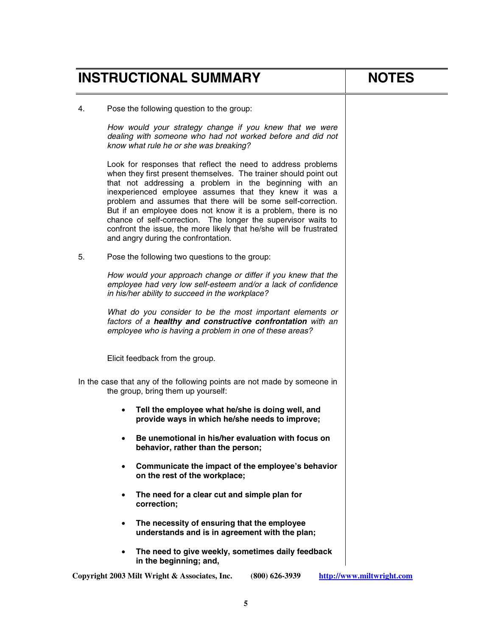|    | <b>INSTRUCTIONAL SUMMARY</b> | <b>NOTES</b>                                                                                                                                                                                                                                                                                                                                                                                                                                                                                                                                                        |                           |
|----|------------------------------|---------------------------------------------------------------------------------------------------------------------------------------------------------------------------------------------------------------------------------------------------------------------------------------------------------------------------------------------------------------------------------------------------------------------------------------------------------------------------------------------------------------------------------------------------------------------|---------------------------|
| 4. |                              | Pose the following question to the group:                                                                                                                                                                                                                                                                                                                                                                                                                                                                                                                           |                           |
|    |                              | How would your strategy change if you knew that we were<br>dealing with someone who had not worked before and did not<br>know what rule he or she was breaking?                                                                                                                                                                                                                                                                                                                                                                                                     |                           |
|    |                              | Look for responses that reflect the need to address problems<br>when they first present themselves. The trainer should point out<br>that not addressing a problem in the beginning with an<br>inexperienced employee assumes that they knew it was a<br>problem and assumes that there will be some self-correction.<br>But if an employee does not know it is a problem, there is no<br>chance of self-correction. The longer the supervisor waits to<br>confront the issue, the more likely that he/she will be frustrated<br>and angry during the confrontation. |                           |
| 5. |                              | Pose the following two questions to the group:                                                                                                                                                                                                                                                                                                                                                                                                                                                                                                                      |                           |
|    |                              | How would your approach change or differ if you knew that the<br>employee had very low self-esteem and/or a lack of confidence<br>in his/her ability to succeed in the workplace?                                                                                                                                                                                                                                                                                                                                                                                   |                           |
|    |                              | What do you consider to be the most important elements or<br>factors of a healthy and constructive confrontation with an<br>employee who is having a problem in one of these areas?                                                                                                                                                                                                                                                                                                                                                                                 |                           |
|    |                              | Elicit feedback from the group.                                                                                                                                                                                                                                                                                                                                                                                                                                                                                                                                     |                           |
|    |                              | In the case that any of the following points are not made by someone in<br>the group, bring them up yourself:                                                                                                                                                                                                                                                                                                                                                                                                                                                       |                           |
|    |                              | Tell the employee what he/she is doing well, and<br>provide ways in which he/she needs to improve;                                                                                                                                                                                                                                                                                                                                                                                                                                                                  |                           |
|    |                              | Be unemotional in his/her evaluation with focus on<br>behavior, rather than the person;                                                                                                                                                                                                                                                                                                                                                                                                                                                                             |                           |
|    | $\bullet$                    | Communicate the impact of the employee's behavior<br>on the rest of the workplace;                                                                                                                                                                                                                                                                                                                                                                                                                                                                                  |                           |
|    | $\bullet$                    | The need for a clear cut and simple plan for<br>correction;                                                                                                                                                                                                                                                                                                                                                                                                                                                                                                         |                           |
|    | $\bullet$                    | The necessity of ensuring that the employee<br>understands and is in agreement with the plan;                                                                                                                                                                                                                                                                                                                                                                                                                                                                       |                           |
|    |                              | The need to give weekly, sometimes daily feedback<br>in the beginning; and,                                                                                                                                                                                                                                                                                                                                                                                                                                                                                         |                           |
|    |                              | Copyright 2003 Milt Wright & Associates, Inc.<br>$(800)$ 626-3939                                                                                                                                                                                                                                                                                                                                                                                                                                                                                                   | http://www.miltwright.com |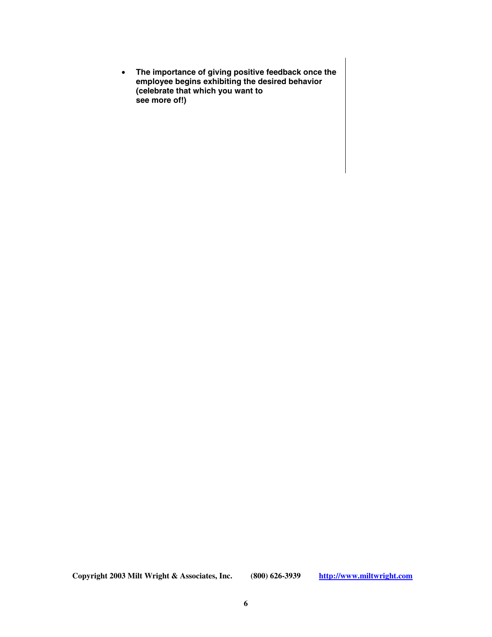• **The importance of giving positive feedback once the employee begins exhibiting the desired behavior (celebrate that which you want to see more of!)** 

**Copyright 2003 Milt Wright & Associates, Inc. (800) 626-3939 http://www.miltwright.com**